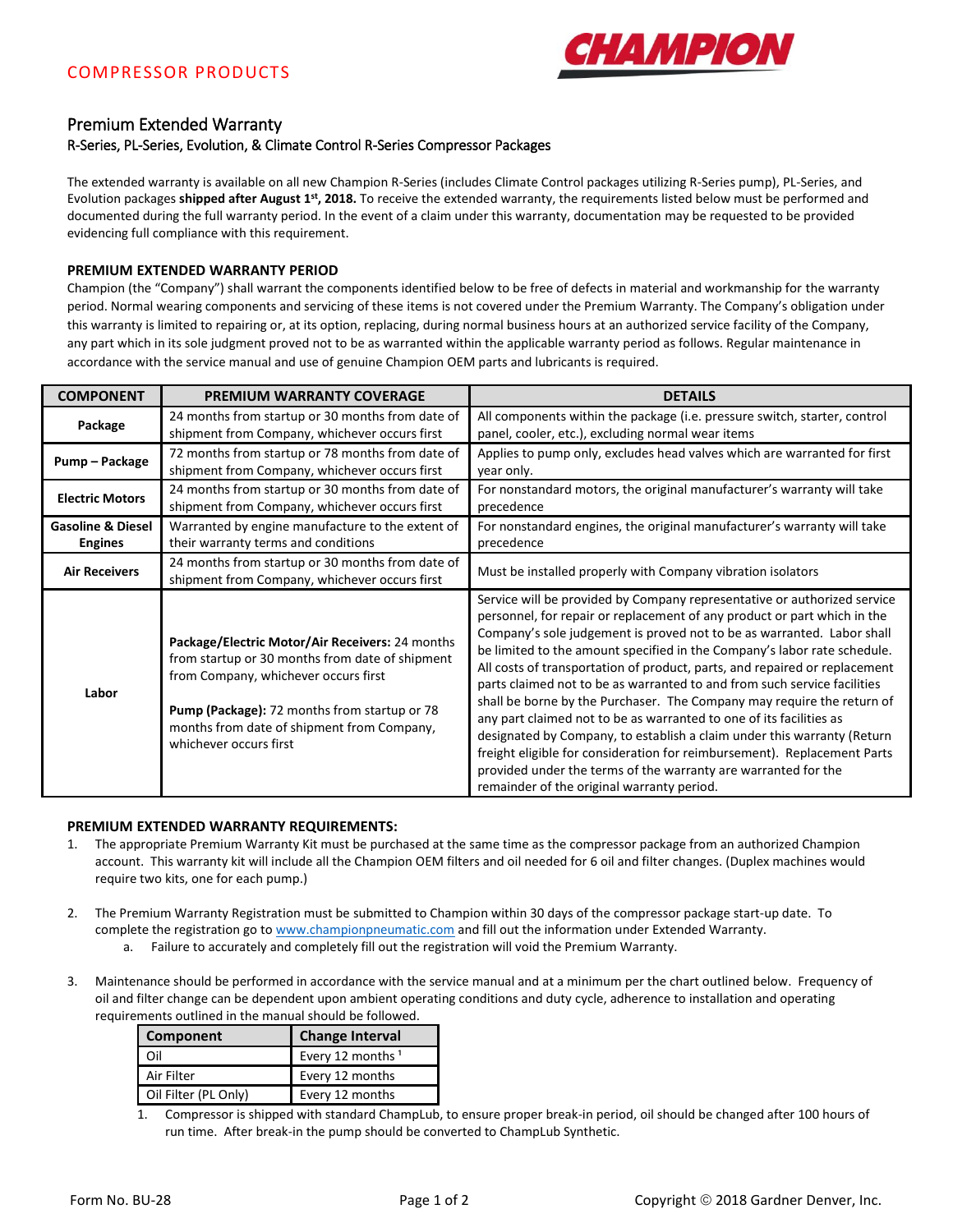

# Premium Extended Warranty

# R-Series, PL-Series, Evolution, & Climate Control R-Series Compressor Packages

The extended warranty is available on all new Champion R-Series (includes Climate Control packages utilizing R-Series pump), PL-Series, and Evolution packages shipped after August 1<sup>st</sup>, 2018. To receive the extended warranty, the requirements listed below must be performed and documented during the full warranty period. In the event of a claim under this warranty, documentation may be requested to be provided evidencing full compliance with this requirement.

## **PREMIUM EXTENDED WARRANTY PERIOD**

Champion (the "Company") shall warrant the components identified below to be free of defects in material and workmanship for the warranty period. Normal wearing components and servicing of these items is not covered under the Premium Warranty. The Company's obligation under this warranty is limited to repairing or, at its option, replacing, during normal business hours at an authorized service facility of the Company, any part which in its sole judgment proved not to be as warranted within the applicable warranty period as follows. Regular maintenance in accordance with the service manual and use of genuine Champion OEM parts and lubricants is required.

| <b>COMPONENT</b>                               | <b>PREMIUM WARRANTY COVERAGE</b>                                                                                                                                                                                                                                          | <b>DETAILS</b>                                                                                                                                                                                                                                                                                                                                                                                                                                                                                                                                                                                                                                                                                                                                                                                                                                                                               |
|------------------------------------------------|---------------------------------------------------------------------------------------------------------------------------------------------------------------------------------------------------------------------------------------------------------------------------|----------------------------------------------------------------------------------------------------------------------------------------------------------------------------------------------------------------------------------------------------------------------------------------------------------------------------------------------------------------------------------------------------------------------------------------------------------------------------------------------------------------------------------------------------------------------------------------------------------------------------------------------------------------------------------------------------------------------------------------------------------------------------------------------------------------------------------------------------------------------------------------------|
| Package                                        | 24 months from startup or 30 months from date of<br>shipment from Company, whichever occurs first                                                                                                                                                                         | All components within the package (i.e. pressure switch, starter, control<br>panel, cooler, etc.), excluding normal wear items                                                                                                                                                                                                                                                                                                                                                                                                                                                                                                                                                                                                                                                                                                                                                               |
| Pump - Package                                 | 72 months from startup or 78 months from date of<br>shipment from Company, whichever occurs first                                                                                                                                                                         | Applies to pump only, excludes head valves which are warranted for first<br>year only.                                                                                                                                                                                                                                                                                                                                                                                                                                                                                                                                                                                                                                                                                                                                                                                                       |
| <b>Electric Motors</b>                         | 24 months from startup or 30 months from date of<br>shipment from Company, whichever occurs first                                                                                                                                                                         | For nonstandard motors, the original manufacturer's warranty will take<br>precedence                                                                                                                                                                                                                                                                                                                                                                                                                                                                                                                                                                                                                                                                                                                                                                                                         |
| <b>Gasoline &amp; Diesel</b><br><b>Engines</b> | Warranted by engine manufacture to the extent of<br>their warranty terms and conditions                                                                                                                                                                                   | For nonstandard engines, the original manufacturer's warranty will take<br>precedence                                                                                                                                                                                                                                                                                                                                                                                                                                                                                                                                                                                                                                                                                                                                                                                                        |
| <b>Air Receivers</b>                           | 24 months from startup or 30 months from date of<br>shipment from Company, whichever occurs first                                                                                                                                                                         | Must be installed properly with Company vibration isolators                                                                                                                                                                                                                                                                                                                                                                                                                                                                                                                                                                                                                                                                                                                                                                                                                                  |
| Labor                                          | Package/Electric Motor/Air Receivers: 24 months<br>from startup or 30 months from date of shipment<br>from Company, whichever occurs first<br><b>Pump (Package):</b> 72 months from startup or 78<br>months from date of shipment from Company,<br>whichever occurs first | Service will be provided by Company representative or authorized service<br>personnel, for repair or replacement of any product or part which in the<br>Company's sole judgement is proved not to be as warranted. Labor shall<br>be limited to the amount specified in the Company's labor rate schedule.<br>All costs of transportation of product, parts, and repaired or replacement<br>parts claimed not to be as warranted to and from such service facilities<br>shall be borne by the Purchaser. The Company may require the return of<br>any part claimed not to be as warranted to one of its facilities as<br>designated by Company, to establish a claim under this warranty (Return<br>freight eligible for consideration for reimbursement). Replacement Parts<br>provided under the terms of the warranty are warranted for the<br>remainder of the original warranty period. |

#### **PREMIUM EXTENDED WARRANTY REQUIREMENTS:**

- 1. The appropriate Premium Warranty Kit must be purchased at the same time as the compressor package from an authorized Champion account. This warranty kit will include all the Champion OEM filters and oil needed for 6 oil and filter changes. (Duplex machines would require two kits, one for each pump.)
- 2. The Premium Warranty Registration must be submitted to Champion within 30 days of the compressor package start-up date. To complete the registration go to [www.championpneumatic.com](http://www.championpneumatic.com/) and fill out the information under Extended Warranty.
	- a. Failure to accurately and completely fill out the registration will void the Premium Warranty.
- 3. Maintenance should be performed in accordance with the service manual and at a minimum per the chart outlined below. Frequency of oil and filter change can be dependent upon ambient operating conditions and duty cycle, adherence to installation and operating requirements outlined in the manual should be followed.

| <b>Component</b>     | <b>Change Interval</b>       |
|----------------------|------------------------------|
| ∩il                  | Every 12 months <sup>1</sup> |
| Air Filter           | Every 12 months              |
| Oil Filter (PL Only) | Every 12 months              |

1. Compressor is shipped with standard ChampLub, to ensure proper break-in period, oil should be changed after 100 hours of run time. After break-in the pump should be converted to ChampLub Synthetic.